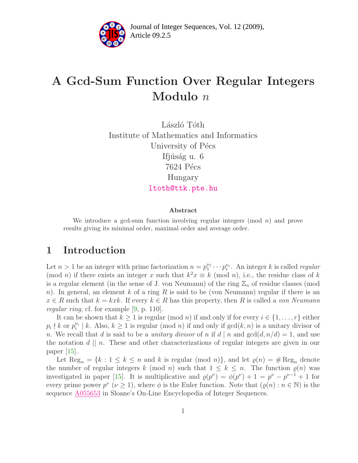

# A Gcd-Sum Function Over Regular Integers Modulo n

László Tóth Institute of Mathematics and Informatics University of Pécs Ifjúság u. 6 7624 Pécs Hungary [ltoth@ttk.pte.hu](mailto:ltoth@ttk.pte.hu)

#### Abstract

We introduce a gcd-sum function involving regular integers  $(mod n)$  and prove results giving its minimal order, maximal order and average order.

### 1 Introduction

Let  $n > 1$  be an integer with prime factorization  $n = p_1^{\nu_1}$  $y_1^{\nu_1} \cdots p_r^{\nu_r}$ . An integer k is called regular (mod *n*) if there exists an integer x such that  $k^2x \equiv k \pmod{n}$ , i.e., the residue class of k is a regular element (in the sense of J. von Neumann) of the ring  $\mathbb{Z}_n$  of residue classes (mod n). In general, an element k of a ring R is said to be (von Neumann) regular if there is an  $x \in R$  such that  $k = kxk$ . If every  $k \in R$  has this property, then R is called a von Neumann regular ring, cf. for example [\[9,](#page-6-0) p. 110].

It can be shown that  $k \geq 1$  is regular (mod n) if and only if for every  $i \in \{1, \ldots, r\}$  either  $p_i \nmid k$  or  $p_i^{\nu_i}$  $\binom{\nu_i}{i}$  k. Also,  $k \ge 1$  is regular (mod n) if and only if  $gcd(k, n)$  is a unitary divisor of n. We recall that d is said to be a *unitary divisor* of n if  $d | n$  and  $gcd(d, n/d) = 1$ , and use the notation  $d \mid n$ . These and other characterizations of regular integers are given in our paper  $|15|$ .

Let  $\text{Reg}_n = \{k : 1 \leq k \leq n \text{ and } k \text{ is regular (mod } n)\},\$  and let  $\varrho(n) = \# \text{Reg}_n$  denote the number of regular integers k (mod n) such that  $1 \leq k \leq n$ . The function  $\varrho(n)$  was investigated in paper [\[15\]](#page-7-0). It is multiplicative and  $\varrho(p^{\nu}) = \varphi(p^{\nu}) + 1 = p^{\nu} - p^{\nu-1} + 1$  for every prime power  $p^{\nu}$  ( $\nu \geq 1$ ), where  $\phi$  is the Euler function. Note that  $(\varrho(n): n \in \mathbb{N})$  is the sequence [A055653](http://www.research.att.com/cgi-bin/access.cgi/as/~njas/sequences/eisA.cgi?Anum=A055653) in Sloane's On-Line Encyclopedia of Integer Sequences.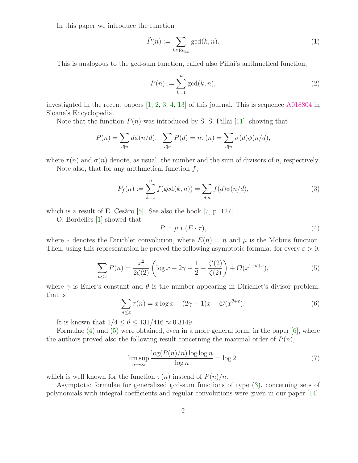In this paper we introduce the function

<span id="page-1-4"></span>
$$
\widetilde{P}(n) := \sum_{k \in \text{Reg}_n} \gcd(k, n). \tag{1}
$$

This is analogous to the gcd-sum function, called also Pillai's arithmetical function,

<span id="page-1-5"></span>
$$
P(n) := \sum_{k=1}^{n} \gcd(k, n),\tag{2}
$$

investigated in the recent papers  $\left[1, 2, 3, 4, 13\right]$  $\left[1, 2, 3, 4, 13\right]$  $\left[1, 2, 3, 4, 13\right]$  $\left[1, 2, 3, 4, 13\right]$  $\left[1, 2, 3, 4, 13\right]$  $\left[1, 2, 3, 4, 13\right]$  $\left[1, 2, 3, 4, 13\right]$  of this journal. This is sequence  $\Delta 018804$  in Sloane's Encyclopedia.

Note that the function  $P(n)$  was introduced by S. S. Pillai [\[11\]](#page-6-6), showing that

$$
P(n) = \sum_{d|n} d\phi(n/d), \sum_{d|n} P(d) = n\tau(n) = \sum_{d|n} \sigma(d)\phi(n/d),
$$

where  $\tau(n)$  and  $\sigma(n)$  denote, as usual, the number and the sum of divisors of n, respectively.

Note also, that for any arithmetical function  $f$ ,

<span id="page-1-2"></span><span id="page-1-0"></span>
$$
P_f(n) := \sum_{k=1}^n f(\gcd(k, n)) = \sum_{d|n} f(d)\phi(n/d),
$$
 (3)

which is a result of E. Cesàro  $[5]$ . See also the book  $[7, p. 127]$ .

O. Bordellès  $[1]$  showed that

$$
P = \mu * (E \cdot \tau),\tag{4}
$$

<span id="page-1-1"></span>where  $*$  denotes the Dirichlet convolution, where  $E(n) = n$  and  $\mu$  is the Möbius function. Then, using this representation he proved the following asymptotic formula: for every  $\varepsilon > 0$ ,

$$
\sum_{n\leq x} P(n) = \frac{x^2}{2\zeta(2)} \left( \log x + 2\gamma - \frac{1}{2} - \frac{\zeta'(2)}{\zeta(2)} \right) + \mathcal{O}(x^{1+\theta+\varepsilon}),\tag{5}
$$

<span id="page-1-6"></span>where  $\gamma$  is Euler's constant and  $\theta$  is the number appearing in Dirichlet's divisor problem, that is

$$
\sum_{n \le x} \tau(n) = x \log x + (2\gamma - 1)x + \mathcal{O}(x^{\theta + \varepsilon}).\tag{6}
$$

It is known that  $1/4 < \theta < 131/416 \approx 0.3149$ .

Formulae [\(4\)](#page-1-0) and [\(5\)](#page-1-1) were obtained, even in a more general form, in the paper [\[6\]](#page-6-9), where the authors proved also the following result concerning the maximal order of  $P(n)$ ,

<span id="page-1-3"></span>
$$
\limsup_{n \to \infty} \frac{\log(P(n)/n) \log \log n}{\log n} = \log 2,\tag{7}
$$

which is well known for the function  $\tau(n)$  instead of  $P(n)/n$ .

Asymptotic formulae for generalized gcd-sum functions of type [\(3\)](#page-1-2), concerning sets of polynomials with integral coefficients and regular convolutions were given in our paper [\[14\]](#page-7-1).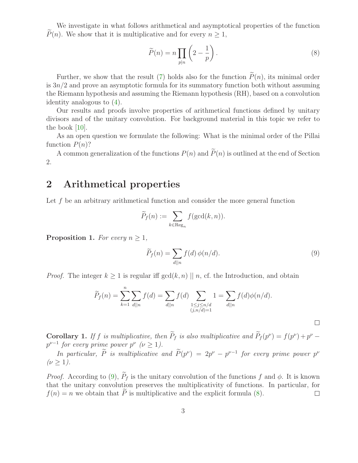We investigate in what follows arithmetical and asymptotical properties of the function  $P(n)$ . We show that it is multiplicative and for every  $n \geq 1$ ,

<span id="page-2-1"></span>
$$
\widetilde{P}(n) = n \prod_{p|n} \left( 2 - \frac{1}{p} \right). \tag{8}
$$

Further, we show that the result [\(7\)](#page-1-3) holds also for the function  $\widetilde{P}(n)$ , its minimal order is  $3n/2$  and prove an asymptotic formula for its summatory function both without assuming the Riemann hypothesis and assuming the Riemann hypothesis (RH), based on a convolution identity analogous to [\(4\)](#page-1-0).

Our results and proofs involve properties of arithmetical functions defined by unitary divisors and of the unitary convolution. For background material in this topic we refer to the book [\[10\]](#page-6-10).

As an open question we formulate the following: What is the minimal order of the Pillai function  $P(n)$ ?

A common generalization of the functions  $P(n)$  and  $\tilde{P}(n)$  is outlined at the end of Section 2.

### 2 Arithmetical properties

Let f be an arbitrary arithmetical function and consider the more general function

<span id="page-2-0"></span>
$$
\widetilde{P}_f(n) := \sum_{k \in \text{Reg}_n} f(\gcd(k, n)).
$$

<span id="page-2-2"></span>**Proposition 1.** For every  $n \geq 1$ ,

$$
\widetilde{P}_f(n) = \sum_{d \mid |n} f(d) \phi(n/d). \tag{9}
$$

*Proof.* The integer  $k \geq 1$  is regular iff  $gcd(k, n) \mid n$ , cf. the Introduction, and obtain

$$
\widetilde{P}_f(n) = \sum_{k=1}^n \sum_{d||n} f(d) = \sum_{\substack{d||n \\ (j,n/d)=1}} f(d) \sum_{\substack{1 \le j \le n/d \\ (j,n/d)=1}} 1 = \sum_{d||n} f(d) \phi(n/d).
$$

**Corollary 1.** If f is multiplicative, then  $P_f$  is also multiplicative and  $P_f(p^{\nu}) = f(p^{\nu}) + p^{\nu} - p^{\nu}$  $p^{\nu-1}$  for every prime power  $p^{\nu}$  ( $\nu \geq 1$ ).

In particular,  $\hat{P}$  is multiplicative and  $\hat{P}(p^{\nu}) = 2p^{\nu} - p^{\nu-1}$  for every prime power  $p^{\nu}$  $(\nu > 1)$ .

*Proof.* According to [\(9\)](#page-2-0),  $\widetilde{P}_f$  is the unitary convolution of the functions f and  $\phi$ . It is known that the unitary convolution preserves the multiplicativity of functions. In particular, for  $f(n) = n$  we obtain that  $\tilde{P}$  is multiplicative and the explicit formula [\(8\)](#page-2-1).  $\Box$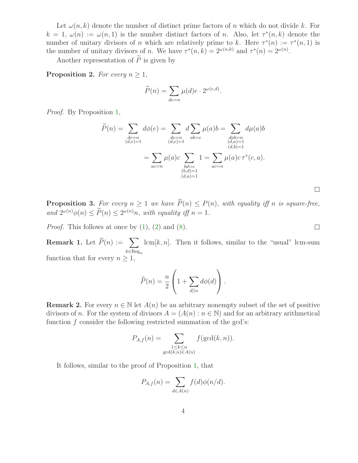Let  $\omega(n,k)$  denote the number of distinct prime factors of n which do not divide k. For  $k = 1, \omega(n) := \omega(n, 1)$  is the number distinct factors of n. Also, let  $\tau^*(n, k)$  denote the number of unitary divisors of n which are relatively prime to k. Here  $\tau^*(n) := \tau^*(n,1)$  is the number of unitary divisors of *n*. We have  $\tau^*(n,k) = 2^{\omega(n,k)}$  and  $\tau^*(n) = 2^{\omega(n)}$ .

Another representation of  $\widetilde{P}$  is given by

<span id="page-3-1"></span>**Proposition 2.** For every  $n \geq 1$ ,

$$
\widetilde{P}(n) = \sum_{de=n} \mu(d)e \cdot 2^{\omega(e,d)}.
$$

Proof. By Proposition [1,](#page-2-2)

$$
\widetilde{P}(n) = \sum_{\substack{de=n\\(d,e)=1\\(d,e)=1}} d\phi(e) = \sum_{\substack{de=n\\(d,e)=1\\(d,e)=1}} d \sum_{ab=e} \mu(a)b = \sum_{\substack{dab=n\\(d,a)=1\\(d,b)=1\\(b,d)=1}} d\mu(a)b
$$
\n
$$
= \sum_{\substack{a\in n\\(b,d)=1\\(d,a)=1}} \mu(a)c \sum_{\substack{ad=n\\(d,a)=1}} d \mu(a)b
$$

 $\Box$ 

 $\Box$ 

<span id="page-3-0"></span>**Proposition 3.** For every  $n \geq 1$  we have  $\widetilde{P}(n) \leq P(n)$ , with equality iff n is square-free, and  $2^{\omega(n)}\phi(n) \leq P(n) \leq 2^{\omega(n)}n$ , with equality iff  $n = 1$ .

*Proof.* This follows at once by  $(1)$ ,  $(2)$  and  $(8)$ .

**Remark 1.** Let  $\widehat{P}(n) := \sum$  $k \in \text{Reg}_n$  $lcm[k,n]$ . Then it follows, similar to the "usual" lcm-sum function that for every  $n \geq 1$ ,

$$
\widehat{P}(n) = \frac{n}{2} \left( 1 + \sum_{d||n} d\phi(d) \right).
$$

**Remark 2.** For every  $n \in \mathbb{N}$  let  $A(n)$  be an arbitrary nonempty subset of the set of positive divisors of n. For the system of divisors  $A = (A(n) : n \in \mathbb{N})$  and for an arbitrary arithmetical function f consider the following restricted summation of the gcd's:

$$
P_{A,f}(n) = \sum_{\substack{1 \le k \le n \\ \gcd(k,n) \in A(n)}} f(\gcd(k,n)).
$$

It follows, similar to the proof of Proposition [1,](#page-2-2) that

$$
P_{A,f}(n) = \sum_{d \in A(n)} f(d)\phi(n/d).
$$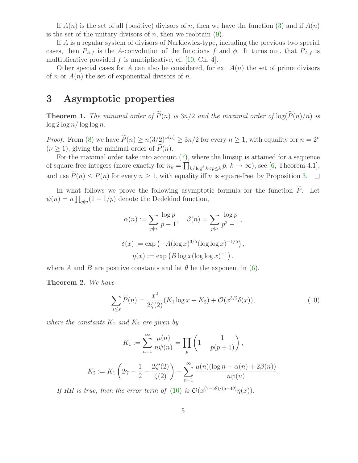If  $A(n)$  is the set of all (positive) divisors of n, then we have the function [\(3\)](#page-1-2) and if  $A(n)$ is the set of the unitary divisors of n, then we reobtain  $(9)$ .

If A is a regular system of divisors of Narkiewicz-type, including the previous two special cases, then  $P_{A,f}$  is the A-convolution of the functions f and  $\phi$ . It turns out, that  $P_{A,f}$  is multiplicative provided  $f$  is multiplicative, cf. [\[10,](#page-6-10) Ch. 4].

Other special cases for A can also be considered, for ex.  $A(n)$  the set of prime divisors of n or  $A(n)$  the set of exponential divisors of n.

# 3 Asymptotic properties

**Theorem 1.** The minimal order of  $\widetilde{P}(n)$  is  $3n/2$  and the maximal order of  $\log(\widetilde{P}(n)/n)$  is  $\log 2 \log n / \log \log n$ .

*Proof.* From [\(8\)](#page-2-1) we have  $\widetilde{P}(n) \ge n(3/2)^{\omega(n)} \ge 3n/2$  for every  $n \ge 1$ , with equality for  $n = 2^{\nu}$  $(\nu > 1)$ , giving the minimal order of  $\tilde{P}(n)$ .

For the maximal order take into account [\(7\)](#page-1-3), where the limsup is attained for a sequence of square-free integers (more exactly for  $n_k = \prod_{k/\log^2 k < p \leq k} p$ ,  $k \to \infty$ ), see [\[6,](#page-6-9) Theorem 4.1], and use  $\widetilde{P}(n) \leq P(n)$  for every  $n \geq 1$ , with equality iff n is square-free, by Proposition [3.](#page-3-0)  $\Box$ 

In what follows we prove the following asymptotic formula for the function  $\widetilde{P}$ . Let  $\psi(n) = n \prod_{p|n} (1 + 1/p)$  denote the Dedekind function,

$$
\alpha(n) := \sum_{p|n} \frac{\log p}{p-1}, \quad \beta(n) = \sum_{p|n} \frac{\log p}{p^2 - 1},
$$
  

$$
\delta(x) := \exp(-A(\log x)^{3/5}(\log \log x)^{-1/5}),
$$
  

$$
\eta(x) := \exp(B \log x(\log \log x)^{-1}),
$$

<span id="page-4-0"></span>where A and B are positive constants and let  $\theta$  be the exponent in [\(6\)](#page-1-6).

Theorem 2. We have

$$
\sum_{n \le x} \widetilde{P}(n) = \frac{x^2}{2\zeta(2)} (K_1 \log x + K_2) + \mathcal{O}(x^{3/2} \delta(x)), \tag{10}
$$

where the constants  $K_1$  and  $K_2$  are given by

$$
K_1 := \sum_{n=1}^{\infty} \frac{\mu(n)}{n\psi(n)} = \prod_p \left( 1 - \frac{1}{p(p+1)} \right),
$$
  

$$
K_2 := K_1 \left( 2\gamma - \frac{1}{2} - \frac{2\zeta'(2)}{\zeta(2)} \right) - \sum_{n=1}^{\infty} \frac{\mu(n)(\log n - \alpha(n) + 2\beta(n))}{n\psi(n)}.
$$

If RH is true, then the error term of [\(10\)](#page-4-0) is  $\mathcal{O}(x^{(7-5\theta)/(5-4\theta)}\eta(x)).$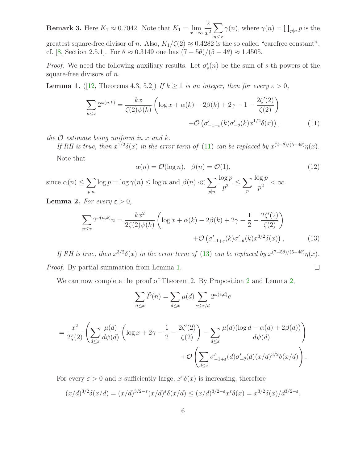**Remark 3.** Here  $K_1 \approx 0.7042$ . Note that  $K_1 = \lim_{x \to \infty} \frac{2}{x^2}$  $x^2$  $\sqrt{ }$  $n \leq x$  $\gamma(n)$ , where  $\gamma(n) = \prod_{p|n} p$  is the greatest square-free divisor of n. Also,  $K_1/\zeta(2) \approx 0.4282$  is the so called "carefree constant", cf. [\[8,](#page-6-11) Section 2.5.1]. For  $\theta \approx 0.3149$  one has  $(7-5\theta)/(5-4\theta) \approx 1.4505$ .

<span id="page-5-2"></span>*Proof.* We need the following auxiliary results. Let  $\sigma'_s(n)$  be the sum of s-th powers of the square-free divisors of  $n$ .

**Lemma 1.** ([\[12,](#page-6-12) Theorems 4.3, 5.2]) If  $k \ge 1$  is an integer, then for every  $\varepsilon > 0$ ,

$$
\sum_{n \le x} 2^{\omega(n,k)} = \frac{kx}{\zeta(2)\psi(k)} \left( \log x + \alpha(k) - 2\beta(k) + 2\gamma - 1 - \frac{2\zeta'(2)}{\zeta(2)} \right)
$$

$$
+ \mathcal{O}\left(\sigma'_{-1+\varepsilon}(k)\sigma'_{-\theta}(k)x^{1/2}\delta(x)\right),\tag{11}
$$

the  $\mathcal O$  estimate being uniform in x and k.

<span id="page-5-4"></span>If RH is true, then  $x^{1/2}\delta(x)$  in the error term of [\(11\)](#page-5-0) can be replaced by  $x^{(2-\theta)/(5-4\theta)}\eta(x)$ . Note that

<span id="page-5-1"></span><span id="page-5-0"></span>
$$
\alpha(n) = \mathcal{O}(\log n), \quad \beta(n) = \mathcal{O}(1), \tag{12}
$$

since  $\alpha(n) \leq \sum$  $p|n$  $\log p = \log \gamma(n) \leq \log n$  and  $\beta(n) \ll \sum$  $p|n$  $\log p$  $\frac{\log p}{p^2} \leq \sum_{n}$ p  $\log p$  $\frac{p}{p^2} < \infty$ .

<span id="page-5-3"></span>**Lemma 2.** For every  $\varepsilon > 0$ ,

$$
\sum_{n\leq x} 2^{\omega(n,k)}n = \frac{kx^2}{2\zeta(2)\psi(k)} \left( \log x + \alpha(k) - 2\beta(k) + 2\gamma - \frac{1}{2} - \frac{2\zeta'(2)}{\zeta(2)} \right)
$$

$$
+ \mathcal{O}\left(\sigma'_{-1+\varepsilon}(k)\sigma'_{-\theta}(k)x^{3/2}\delta(x)\right),\tag{13}
$$

If RH is true, then  $x^{3/2}\delta(x)$  in the error term of [\(13\)](#page-5-1) can be replaced by  $x^{(7-5\theta)/(5-4\theta)}\eta(x)$ . Proof. By partial summation from Lemma [1.](#page-5-2)  $\Box$ 

We can now complete the proof of Theorem [2](#page-3-1). By Proposition 2 and Lemma [2,](#page-5-3)

$$
\sum_{n \le x} \widetilde{P}(n) = \sum_{d \le x} \mu(d) \sum_{e \le x/d} 2^{\omega(e,d)} e
$$

$$
= \frac{x^2}{2\zeta(2)} \left( \sum_{d \le x} \frac{\mu(d)}{d\psi(d)} \left( \log x + 2\gamma - \frac{1}{2} - \frac{2\zeta'(2)}{\zeta(2)} \right) - \sum_{d \le x} \frac{\mu(d)(\log d - \alpha(d) + 2\beta(d))}{d\psi(d)} \right) + \mathcal{O} \left( \sum_{d \le x} \sigma'_{-1+\varepsilon}(d)\sigma'_{-\theta}(d)(x/d)^{3/2} \delta(x/d) \right).
$$

For every  $\varepsilon > 0$  and x sufficiently large,  $x^{\varepsilon} \delta(x)$  is increasing, therefore

$$
(x/d)^{3/2}\delta(x/d) = (x/d)^{3/2-\epsilon}(x/d)^{\epsilon}\delta(x/d) \le (x/d)^{3/2-\epsilon}x^{\epsilon}\delta(x) = x^{3/2}\delta(x)/d^{3/2-\epsilon}.
$$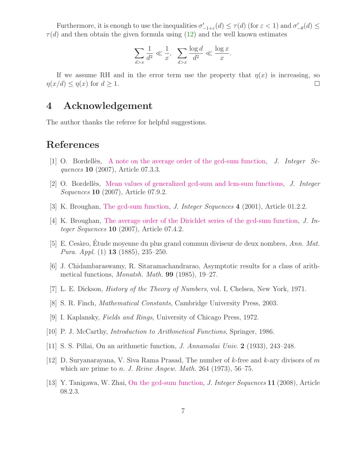Furthermore, it is enough to use the inequalities  $\sigma'_{-1+\varepsilon}(d) \leq \tau(d)$  (for  $\varepsilon < 1$ ) and  $\sigma'_{-\theta}(d) \leq$  $\tau(d)$  and then obtain the given formula using  $(12)$  and the well known estimates

$$
\sum_{d>x} \frac{1}{d^2} \ll \frac{1}{x}, \quad \sum_{d>x} \frac{\log d}{d^2} \ll \frac{\log x}{x}.
$$

If we assume RH and in the error term use the property that  $\eta(x)$  is increasing, so  $\eta(x/d) \leq \eta(x)$  for  $d \geq 1$ .  $\Box$ 

### 4 Acknowledgement

The author thanks the referee for helpful suggestions.

# <span id="page-6-1"></span>References

- <span id="page-6-2"></span>[1] O. Bordellies, [A note on the average order of the gcd-sum function,](http://www.cs.uwaterloo.ca/journals/JIS/VOL10/Bordelles/bordelles90.html) J. Integer Sequences **10** (2007), Article 07.3.3.
- <span id="page-6-3"></span>[2] O. Bordelles, [Mean values of generalized gcd-sum and lcm-sum functions,](http://www.cs.uwaterloo.ca/journals/JIS/VOL10/Bordelles2/bordelles61.pdf) J. Integer Sequences **10** (2007), Article 07.9.2.
- <span id="page-6-4"></span>[3] K. Broughan, [The gcd-sum function,](http://www.cs.uwaterloo.ca/journals/JIS/VOL4/BROUGHAN/gcdsum.pdf) *J. Integer Sequences* 4 (2001), Article 01.2.2.
- [4] K. Broughan, [The average order of the Dirichlet series of the gcd-sum function,](http://www.cs.uwaterloo.ca/journals/JIS/VOL10/Broughan/broughan1.html) J. Integer Sequences  $10$  (2007), Article 07.4.2.
- <span id="page-6-7"></span>[5] E. Cesàro, Étude moyenne du plus grand commun diviseur de deux nombres, Ann. Mat. Pura. Appl. (1) 13 (1885), 235–250.
- <span id="page-6-9"></span>[6] J. Chidambaraswamy, R. Sitaramachandrarao, Asymptotic results for a class of arithmetical functions, *Monatsh. Math.* **99** (1985), 19–27.
- <span id="page-6-11"></span><span id="page-6-8"></span>[7] L. E. Dickson, History of the Theory of Numbers, vol. I, Chelsea, New York, 1971.
- <span id="page-6-0"></span>[8] S. R. Finch, Mathematical Constants, Cambridge University Press, 2003.
- [9] I. Kaplansky, Fields and Rings, University of Chicago Press, 1972.
- <span id="page-6-10"></span><span id="page-6-6"></span>[10] P. J. McCarthy, Introduction to Arithmetical Functions, Springer, 1986.
- <span id="page-6-12"></span>[11] S. S. Pillai, On an arithmetic function, J. Annamalai Univ. 2 (1933), 243–248.
- <span id="page-6-5"></span>[12] D. Suryanarayana, V. Siva Rama Prasad, The number of  $k$ -free and  $k$ -ary divisors of m which are prime to *n. J. Reine Angew. Math.* 264 (1973), 56–75.
- [13] Y. Tanigawa, W. Zhai, [On the gcd-sum function,](http://www.cs.uwaterloo.ca/journals/JIS/VOL11/Tanigawa/tanigawa12.pdf) J. Integer Sequences 11 (2008), Article 08.2.3.